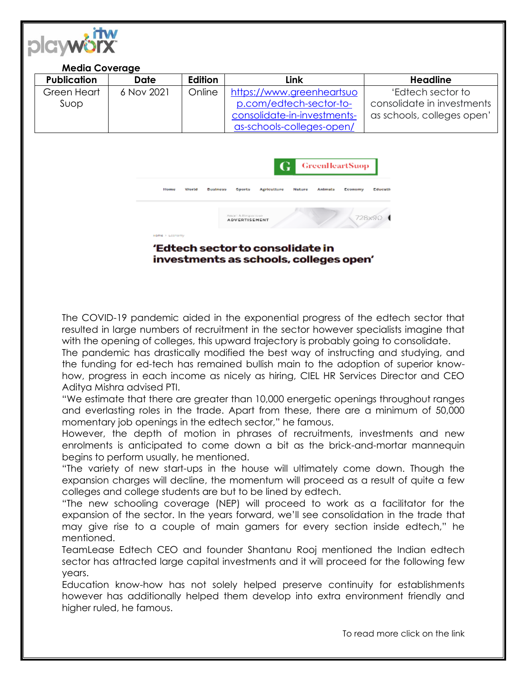

| <b>Media Coverage</b>                                                                                                                                                                                                                                                                      |            |         |                             |                            |
|--------------------------------------------------------------------------------------------------------------------------------------------------------------------------------------------------------------------------------------------------------------------------------------------|------------|---------|-----------------------------|----------------------------|
| <b>Publication</b>                                                                                                                                                                                                                                                                         | Date       | Edition | Link                        | <b>Headline</b>            |
| Green Heart                                                                                                                                                                                                                                                                                | 6 Nov 2021 | Online  | https://www.greenheartsuo   | 'Edtech sector to          |
| Suop                                                                                                                                                                                                                                                                                       |            |         | p.com/edtech-sector-to-     | consolidate in investments |
|                                                                                                                                                                                                                                                                                            |            |         | consolidate-in-investments- | as schools, colleges open' |
|                                                                                                                                                                                                                                                                                            |            |         | as-schools-colleges-open/   |                            |
| <b>GreenHeartSuop</b><br>G<br>Home<br>Educath<br>World<br>Agriculture<br>Nature<br>Animals<br><b>Business</b><br>Coorts<br>Economy<br>Smart & Regions on<br>728x90<br><b>ADVERTISEMENT</b><br>Home > Loanomy<br>'Edtech sector to consolidate in<br>investments as schools, colleges open' |            |         |                             |                            |

The COVID-19 pandemic aided in the exponential progress of the edtech sector that resulted in large numbers of recruitment in the sector however specialists imagine that with the opening of colleges, this upward trajectory is probably going to consolidate.

The pandemic has drastically modified the best way of instructing and studying, and the funding for ed-tech has remained bullish main to the adoption of superior knowhow, progress in each income as nicely as hiring, CIEL HR Services Director and CEO Aditya Mishra advised PTI.

"We estimate that there are greater than 10,000 energetic openings throughout ranges and everlasting roles in the trade. Apart from these, there are a minimum of 50,000 momentary job openings in the edtech sector," he famous.

However, the depth of motion in phrases of recruitments, investments and new enrolments is anticipated to come down a bit as the brick-and-mortar mannequin begins to perform usually, he mentioned.

"The variety of new start-ups in the house will ultimately come down. Though the expansion charges will decline, the momentum will proceed as a result of quite a few colleges and college students are but to be lined by edtech.

"The new schooling coverage (NEP) will proceed to work as a facilitator for the expansion of the sector. In the years forward, we'll see consolidation in the trade that may give rise to a couple of main gamers for every section inside edtech," he mentioned.

TeamLease Edtech CEO and founder Shantanu Rooj mentioned the Indian edtech sector has attracted large capital investments and it will proceed for the following few years.

Education know-how has not solely helped preserve continuity for establishments however has additionally helped them develop into extra environment friendly and higher ruled, he famous.

To read more click on the link